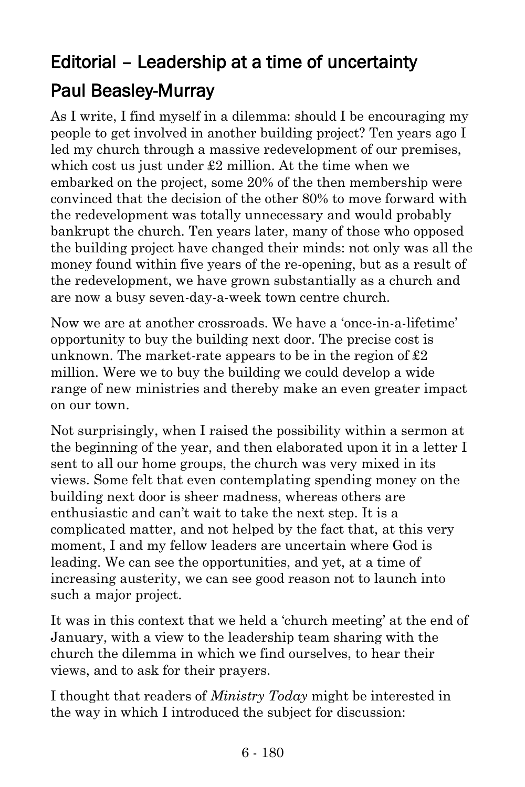## Editorial – Leadership at a time of uncertainty Paul Beasley-Murray

As I write, I find myself in a dilemma: should I be encouraging my people to get involved in another building project? Ten years ago I led my church through a massive redevelopment of our premises, which cost us just under £2 million. At the time when we embarked on the project, some 20% of the then membership were convinced that the decision of the other 80% to move forward with the redevelopment was totally unnecessary and would probably bankrupt the church. Ten years later, many of those who opposed the building project have changed their minds: not only was all the money found within five years of the re-opening, but as a result of the redevelopment, we have grown substantially as a church and are now a busy seven-day-a-week town centre church.

Now we are at another crossroads. We have a 'once-in-a-lifetime' opportunity to buy the building next door. The precise cost is unknown. The market-rate appears to be in the region of  $\pounds 2$ million. Were we to buy the building we could develop a wide range of new ministries and thereby make an even greater impact on our town.

Not surprisingly, when I raised the possibility within a sermon at the beginning of the year, and then elaborated upon it in a letter I sent to all our home groups, the church was very mixed in its views. Some felt that even contemplating spending money on the building next door is sheer madness, whereas others are enthusiastic and can't wait to take the next step. It is a complicated matter, and not helped by the fact that, at this very moment, I and my fellow leaders are uncertain where God is leading. We can see the opportunities, and yet, at a time of increasing austerity, we can see good reason not to launch into such a major project.

It was in this context that we held a 'church meeting' at the end of January, with a view to the leadership team sharing with the church the dilemma in which we find ourselves, to hear their views, and to ask for their prayers.

I thought that readers of *Ministry Today* might be interested in the way in which I introduced the subject for discussion: